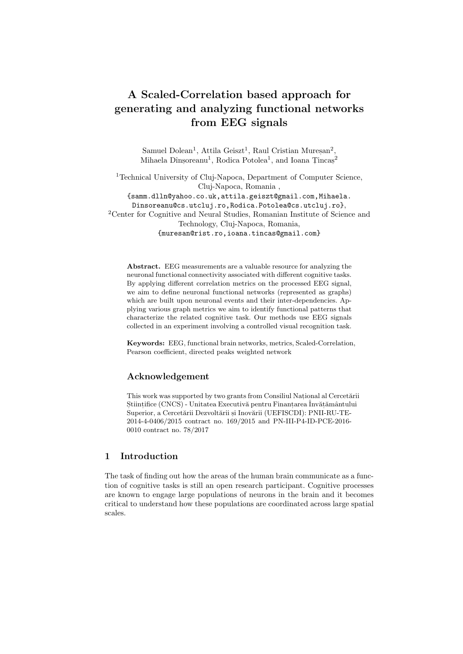# A Scaled-Correlation based approach for generating and analyzing functional networks from EEG signals

Samuel Dolean<sup>1</sup>, Attila Geiszt<sup>1</sup>, Raul Cristian Mureșan<sup>2</sup>, Mihaela Dînșoreanu<sup>1</sup>, Rodica Potolea<sup>1</sup>, and Ioana Țincaș<sup>2</sup>

<sup>1</sup>Technical University of Cluj-Napoca, Department of Computer Science, Cluj-Napoca, Romania , {samm.dlln@yahoo.co.uk,attila.geiszt@gmail.com,Mihaela. Dinsoreanu@cs.utcluj.ro,Rodica.Potolea@cs.utcluj.ro}, <sup>2</sup>Center for Cognitive and Neural Studies, Romanian Institute of Science and Technology, Cluj-Napoca, Romania, {muresan@rist.ro,ioana.tincas@gmail.com}

Abstract. EEG measurements are a valuable resource for analyzing the neuronal functional connectivity associated with different cognitive tasks. By applying different correlation metrics on the processed EEG signal, we aim to define neuronal functional networks (represented as graphs) which are built upon neuronal events and their inter-dependencies. Applying various graph metrics we aim to identify functional patterns that characterize the related cognitive task. Our methods use EEG signals collected in an experiment involving a controlled visual recognition task.

Keywords: EEG, functional brain networks, metrics, Scaled-Correlation, Pearson coefficient, directed peaks weighted network

## Acknowledgement

This work was supported by two grants from Consiliul National al Cercetării Stiințifice (CNCS) - Unitatea Executivă pentru Finanțarea Învățământului Superior, a Cercetării Dezvoltării și Inovării (UEFISCDI): PNII-RU-TE-2014-4-0406/2015 contract no. 169/2015 and PN-III-P4-ID-PCE-2016- 0010 contract no. 78/2017

## 1 Introduction

The task of finding out how the areas of the human brain communicate as a function of cognitive tasks is still an open research participant. Cognitive processes are known to engage large populations of neurons in the brain and it becomes critical to understand how these populations are coordinated across large spatial scales.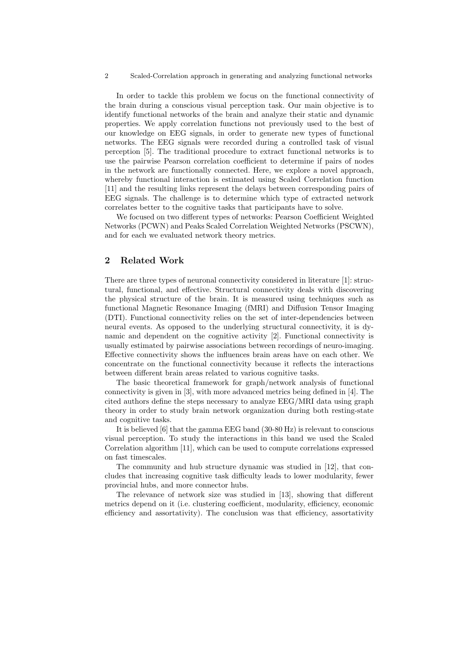#### 2 Scaled-Correlation approach in generating and analyzing functional networks

In order to tackle this problem we focus on the functional connectivity of the brain during a conscious visual perception task. Our main objective is to identify functional networks of the brain and analyze their static and dynamic properties. We apply correlation functions not previously used to the best of our knowledge on EEG signals, in order to generate new types of functional networks. The EEG signals were recorded during a controlled task of visual perception [5]. The traditional procedure to extract functional networks is to use the pairwise Pearson correlation coefficient to determine if pairs of nodes in the network are functionally connected. Here, we explore a novel approach, whereby functional interaction is estimated using Scaled Correlation function [11] and the resulting links represent the delays between corresponding pairs of EEG signals. The challenge is to determine which type of extracted network correlates better to the cognitive tasks that participants have to solve.

We focused on two different types of networks: Pearson Coefficient Weighted Networks (PCWN) and Peaks Scaled Correlation Weighted Networks (PSCWN), and for each we evaluated network theory metrics.

## 2 Related Work

There are three types of neuronal connectivity considered in literature [1]: structural, functional, and effective. Structural connectivity deals with discovering the physical structure of the brain. It is measured using techniques such as functional Magnetic Resonance Imaging (fMRI) and Diffusion Tensor Imaging (DTI). Functional connectivity relies on the set of inter-dependencies between neural events. As opposed to the underlying structural connectivity, it is dynamic and dependent on the cognitive activity [2]. Functional connectivity is usually estimated by pairwise associations between recordings of neuro-imaging. Effective connectivity shows the influences brain areas have on each other. We concentrate on the functional connectivity because it reflects the interactions between different brain areas related to various cognitive tasks.

The basic theoretical framework for graph/network analysis of functional connectivity is given in [3], with more advanced metrics being defined in [4]. The cited authors define the steps necessary to analyze EEG/MRI data using graph theory in order to study brain network organization during both resting-state and cognitive tasks.

It is believed [6] that the gamma EEG band (30-80 Hz) is relevant to conscious visual perception. To study the interactions in this band we used the Scaled Correlation algorithm [11], which can be used to compute correlations expressed on fast timescales.

The community and hub structure dynamic was studied in [12], that concludes that increasing cognitive task difficulty leads to lower modularity, fewer provincial hubs, and more connector hubs.

The relevance of network size was studied in [13], showing that different metrics depend on it (i.e. clustering coefficient, modularity, efficiency, economic efficiency and assortativity). The conclusion was that efficiency, assortativity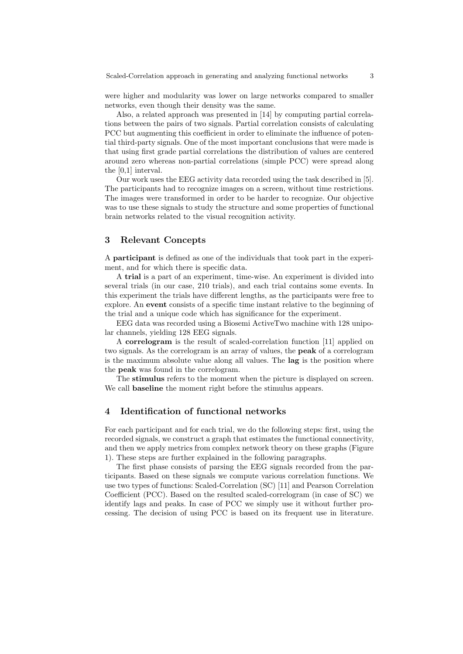were higher and modularity was lower on large networks compared to smaller networks, even though their density was the same.

Also, a related approach was presented in [14] by computing partial correlations between the pairs of two signals. Partial correlation consists of calculating PCC but augmenting this coefficient in order to eliminate the influence of potential third-party signals. One of the most important conclusions that were made is that using first grade partial correlations the distribution of values are centered around zero whereas non-partial correlations (simple PCC) were spread along the [0,1] interval.

Our work uses the EEG activity data recorded using the task described in [5]. The participants had to recognize images on a screen, without time restrictions. The images were transformed in order to be harder to recognize. Our objective was to use these signals to study the structure and some properties of functional brain networks related to the visual recognition activity.

## 3 Relevant Concepts

A participant is defined as one of the individuals that took part in the experiment, and for which there is specific data.

A trial is a part of an experiment, time-wise. An experiment is divided into several trials (in our case, 210 trials), and each trial contains some events. In this experiment the trials have different lengths, as the participants were free to explore. An event consists of a specific time instant relative to the beginning of the trial and a unique code which has significance for the experiment.

EEG data was recorded using a Biosemi ActiveTwo machine with 128 unipolar channels, yielding 128 EEG signals.

A correlogram is the result of scaled-correlation function [11] applied on two signals. As the correlogram is an array of values, the peak of a correlogram is the maximum absolute value along all values. The lag is the position where the peak was found in the correlogram.

The stimulus refers to the moment when the picture is displayed on screen. We call baseline the moment right before the stimulus appears.

### 4 Identification of functional networks

For each participant and for each trial, we do the following steps: first, using the recorded signals, we construct a graph that estimates the functional connectivity, and then we apply metrics from complex network theory on these graphs (Figure 1). These steps are further explained in the following paragraphs.

The first phase consists of parsing the EEG signals recorded from the participants. Based on these signals we compute various correlation functions. We use two types of functions: Scaled-Correlation (SC) [11] and Pearson Correlation Coefficient (PCC). Based on the resulted scaled-correlogram (in case of SC) we identify lags and peaks. In case of PCC we simply use it without further processing. The decision of using PCC is based on its frequent use in literature.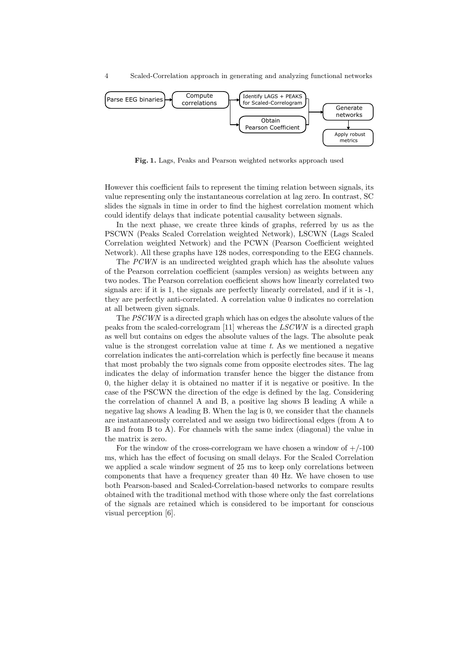4 Scaled-Correlation approach in generating and analyzing functional networks



Fig. 1. Lags, Peaks and Pearson weighted networks approach used

However this coefficient fails to represent the timing relation between signals, its value representing only the instantaneous correlation at lag zero. In contrast, SC slides the signals in time in order to find the highest correlation moment which could identify delays that indicate potential causality between signals.

In the next phase, we create three kinds of graphs, referred by us as the PSCWN (Peaks Scaled Correlation weighted Network), LSCWN (Lags Scaled Correlation weighted Network) and the PCWN (Pearson Coefficient weighted Network). All these graphs have 128 nodes, corresponding to the EEG channels.

The PCWN is an undirected weighted graph which has the absolute values of the Pearson correlation coefficient (samples version) as weights between any two nodes. The Pearson correlation coefficient shows how linearly correlated two signals are: if it is 1, the signals are perfectly linearly correlated, and if it is -1, they are perfectly anti-correlated. A correlation value 0 indicates no correlation at all between given signals.

The PSCWN is a directed graph which has on edges the absolute values of the peaks from the scaled-correlogram [11] whereas the LSCWN is a directed graph as well but contains on edges the absolute values of the lags. The absolute peak value is the strongest correlation value at time  $t$ . As we mentioned a negative correlation indicates the anti-correlation which is perfectly fine because it means that most probably the two signals come from opposite electrodes sites. The lag indicates the delay of information transfer hence the bigger the distance from 0, the higher delay it is obtained no matter if it is negative or positive. In the case of the PSCWN the direction of the edge is defined by the lag. Considering the correlation of channel A and B, a positive lag shows B leading A while a negative lag shows A leading B. When the lag is 0, we consider that the channels are instantaneously correlated and we assign two bidirectional edges (from A to B and from B to A). For channels with the same index (diagonal) the value in the matrix is zero.

For the window of the cross-correlogram we have chosen a window of  $+/-100$ ms, which has the effect of focusing on small delays. For the Scaled Correlation we applied a scale window segment of 25 ms to keep only correlations between components that have a frequency greater than 40 Hz. We have chosen to use both Pearson-based and Scaled-Correlation-based networks to compare results obtained with the traditional method with those where only the fast correlations of the signals are retained which is considered to be important for conscious visual perception [6].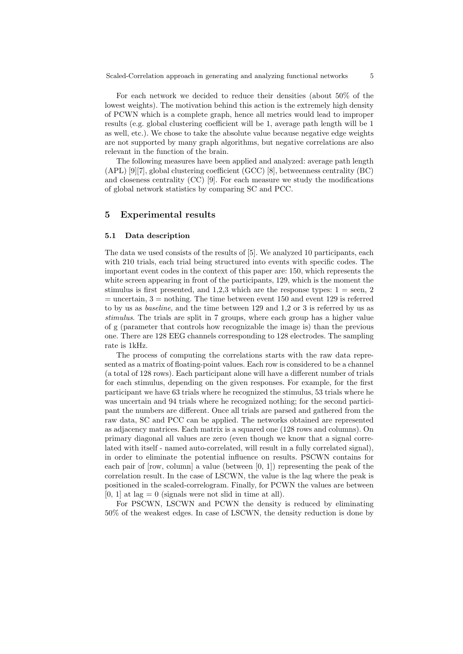For each network we decided to reduce their densities (about 50% of the lowest weights). The motivation behind this action is the extremely high density of PCWN which is a complete graph, hence all metrics would lead to improper results (e.g. global clustering coefficient will be 1, average path length will be 1 as well, etc.). We chose to take the absolute value because negative edge weights are not supported by many graph algorithms, but negative correlations are also relevant in the function of the brain.

The following measures have been applied and analyzed: average path length (APL) [9][7], global clustering coefficient (GCC) [8], betweenness centrality (BC) and closeness centrality (CC) [9]. For each measure we study the modifications of global network statistics by comparing SC and PCC.

#### 5 Experimental results

#### 5.1 Data description

The data we used consists of the results of [5]. We analyzed 10 participants, each with 210 trials, each trial being structured into events with specific codes. The important event codes in the context of this paper are: 150, which represents the white screen appearing in front of the participants, 129, which is the moment the stimulus is first presented, and 1,2,3 which are the response types:  $1 =$  seen, 2  $=$  uncertain,  $3 =$  nothing. The time between event 150 and event 129 is referred to by us as baseline, and the time between 129 and 1,2 or 3 is referred by us as stimulus. The trials are split in 7 groups, where each group has a higher value of g (parameter that controls how recognizable the image is) than the previous one. There are 128 EEG channels corresponding to 128 electrodes. The sampling rate is 1kHz.

The process of computing the correlations starts with the raw data represented as a matrix of floating-point values. Each row is considered to be a channel (a total of 128 rows). Each participant alone will have a different number of trials for each stimulus, depending on the given responses. For example, for the first participant we have 63 trials where he recognized the stimulus, 53 trials where he was uncertain and 94 trials where he recognized nothing; for the second participant the numbers are different. Once all trials are parsed and gathered from the raw data, SC and PCC can be applied. The networks obtained are represented as adjacency matrices. Each matrix is a squared one (128 rows and columns). On primary diagonal all values are zero (even though we know that a signal correlated with itself - named auto-correlated, will result in a fully correlated signal), in order to eliminate the potential influence on results. PSCWN contains for each pair of [row, column] a value (between [0, 1]) representing the peak of the correlation result. In the case of LSCWN, the value is the lag where the peak is positioned in the scaled-correlogram. Finally, for PCWN the values are between  $[0, 1]$  at lag = 0 (signals were not slid in time at all).

For PSCWN, LSCWN and PCWN the density is reduced by eliminating 50% of the weakest edges. In case of LSCWN, the density reduction is done by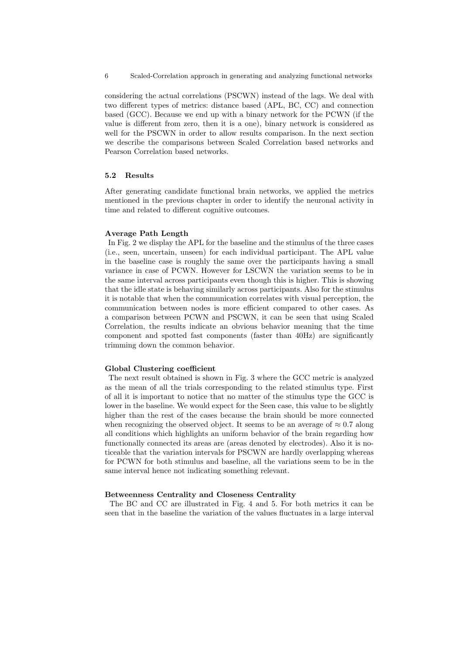6 Scaled-Correlation approach in generating and analyzing functional networks

considering the actual correlations (PSCWN) instead of the lags. We deal with two different types of metrics: distance based (APL, BC, CC) and connection based (GCC). Because we end up with a binary network for the PCWN (if the value is different from zero, then it is a one), binary network is considered as well for the PSCWN in order to allow results comparison. In the next section we describe the comparisons between Scaled Correlation based networks and Pearson Correlation based networks.

#### 5.2 Results

After generating candidate functional brain networks, we applied the metrics mentioned in the previous chapter in order to identify the neuronal activity in time and related to different cognitive outcomes.

### Average Path Length

In Fig. 2 we display the APL for the baseline and the stimulus of the three cases (i.e., seen, uncertain, unseen) for each individual participant. The APL value in the baseline case is roughly the same over the participants having a small variance in case of PCWN. However for LSCWN the variation seems to be in the same interval across participants even though this is higher. This is showing that the idle state is behaving similarly across participants. Also for the stimulus it is notable that when the communication correlates with visual perception, the communication between nodes is more efficient compared to other cases. As a comparison between PCWN and PSCWN, it can be seen that using Scaled Correlation, the results indicate an obvious behavior meaning that the time component and spotted fast components (faster than 40Hz) are significantly trimming down the common behavior.

### Global Clustering coefficient

The next result obtained is shown in Fig. 3 where the GCC metric is analyzed as the mean of all the trials corresponding to the related stimulus type. First of all it is important to notice that no matter of the stimulus type the GCC is lower in the baseline. We would expect for the Seen case, this value to be slightly higher than the rest of the cases because the brain should be more connected when recognizing the observed object. It seems to be an average of  $\approx 0.7$  along all conditions which highlights an uniform behavior of the brain regarding how functionally connected its areas are (areas denoted by electrodes). Also it is noticeable that the variation intervals for PSCWN are hardly overlapping whereas for PCWN for both stimulus and baseline, all the variations seem to be in the same interval hence not indicating something relevant.

#### Betweenness Centrality and Closeness Centrality

The BC and CC are illustrated in Fig. 4 and 5. For both metrics it can be seen that in the baseline the variation of the values fluctuates in a large interval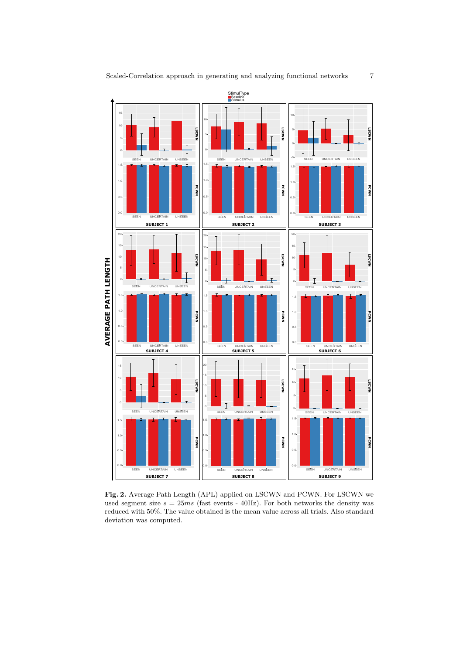

Fig. 2. Average Path Length (APL) applied on LSCWN and PCWN. For LSCWN we used segment size  $s = 25ms$  (fast events - 40Hz). For both networks the density was reduced with 50%. The value obtained is the mean value across all trials. Also standard deviation was computed.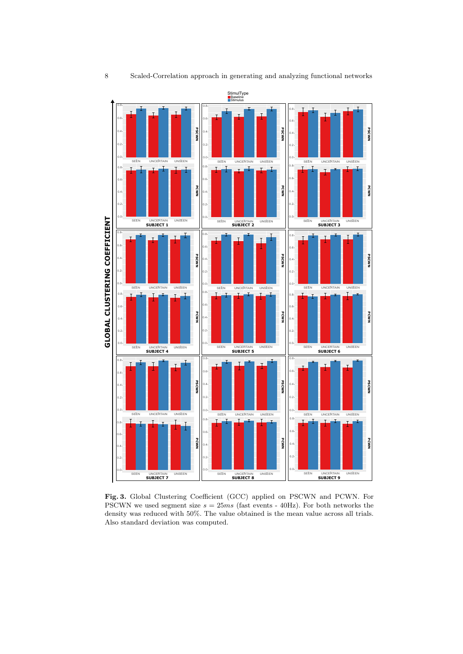

Fig. 3. Global Clustering Coefficient (GCC) applied on PSCWN and PCWN. For PSCWN we used segment size  $s = 25ms$  (fast events - 40Hz). For both networks the density was reduced with 50%. The value obtained is the mean value across all trials. Also standard deviation was computed.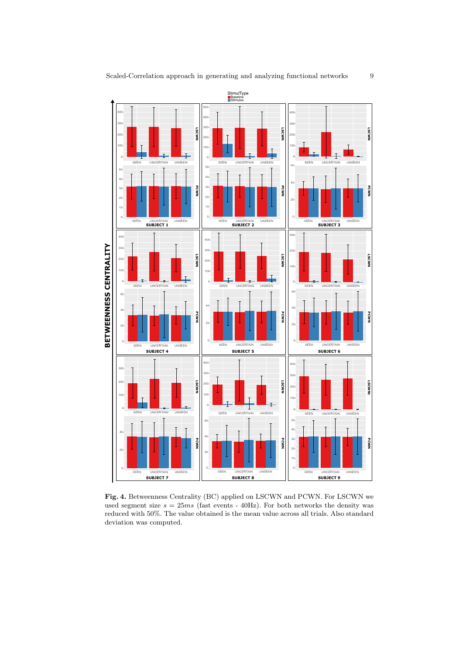

Fig. 4. Betweenness Centrality (BC) applied on LSCWN and PCWN. For LSCWN we used segment size  $s = 25ms$  (fast events - 40Hz). For both networks the density was reduced with 50%. The value obtained is the mean value across all trials. Also standard deviation was computed.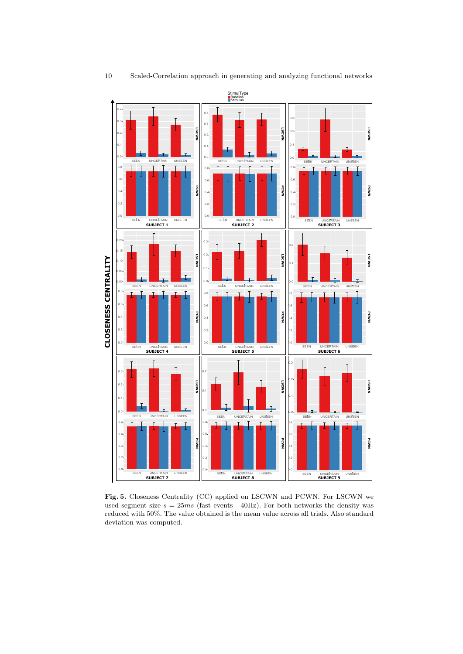

Fig. 5. Closeness Centrality (CC) applied on LSCWN and PCWN. For LSCWN we used segment size  $s = 25ms$  (fast events - 40Hz). For both networks the density was reduced with 50%. The value obtained is the mean value across all trials. Also standard deviation was computed.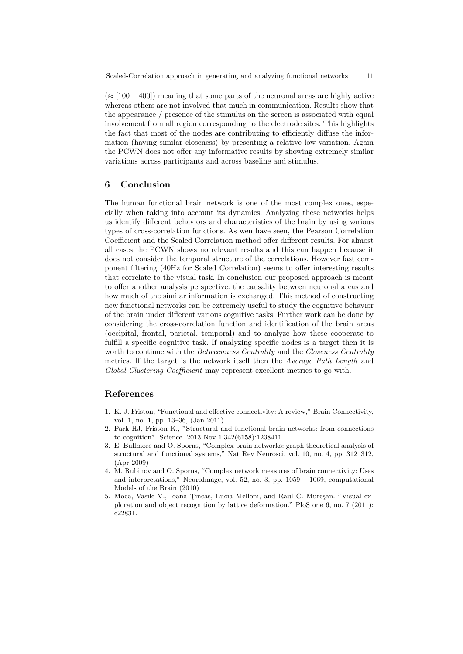$(\approx [100 - 400])$  meaning that some parts of the neuronal areas are highly active whereas others are not involved that much in communication. Results show that the appearance / presence of the stimulus on the screen is associated with equal involvement from all region corresponding to the electrode sites. This highlights the fact that most of the nodes are contributing to efficiently diffuse the information (having similar closeness) by presenting a relative low variation. Again the PCWN does not offer any informative results by showing extremely similar variations across participants and across baseline and stimulus.

## 6 Conclusion

The human functional brain network is one of the most complex ones, especially when taking into account its dynamics. Analyzing these networks helps us identify different behaviors and characteristics of the brain by using various types of cross-correlation functions. As wen have seen, the Pearson Correlation Coefficient and the Scaled Correlation method offer different results. For almost all cases the PCWN shows no relevant results and this can happen because it does not consider the temporal structure of the correlations. However fast component filtering (40Hz for Scaled Correlation) seems to offer interesting results that correlate to the visual task. In conclusion our proposed approach is meant to offer another analysis perspective: the causality between neuronal areas and how much of the similar information is exchanged. This method of constructing new functional networks can be extremely useful to study the cognitive behavior of the brain under different various cognitive tasks. Further work can be done by considering the cross-correlation function and identification of the brain areas (occipital, frontal, parietal, temporal) and to analyze how these cooperate to fulfill a specific cognitive task. If analyzing specific nodes is a target then it is worth to continue with the Betweenness Centrality and the Closeness Centrality metrics. If the target is the network itself then the Average Path Length and Global Clustering Coefficient may represent excellent metrics to go with.

## References

- 1. K. J. Friston, "Functional and effective connectivity: A review," Brain Connectivity, vol. 1, no. 1, pp. 13–36, (Jan 2011)
- 2. Park HJ, Friston K., "Structural and functional brain networks: from connections to cognition". Science. 2013 Nov 1;342(6158):1238411.
- 3. E. Bullmore and O. Sporns, "Complex brain networks: graph theoretical analysis of structural and functional systems," Nat Rev Neurosci, vol. 10, no. 4, pp. 312–312, (Apr 2009)
- 4. M. Rubinov and O. Sporns, "Complex network measures of brain connectivity: Uses and interpretations," NeuroImage, vol. 52, no. 3, pp. 1059 – 1069, computational Models of the Brain (2010)
- 5. Moca, Vasile V., Ioana Tincas, Lucia Melloni, and Raul C. Mureşan. "Visual exploration and object recognition by lattice deformation." PloS one 6, no. 7 (2011): e22831.